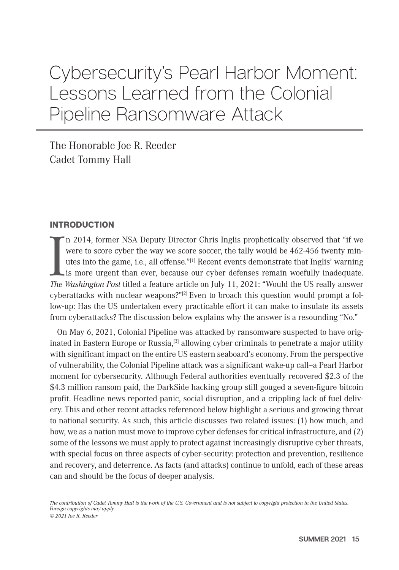# Cybersecurity's Pearl Harbor Moment: Lessons Learned from the Colonial Pipeline Ransomware Attack

The Honorable Joe R. Reeder Cadet Tommy Hall

## INTRODUCTION

In 2014, former NSA Deputy Director Chris Inglis prophetically observed that "if we were to score cyber the way we score soccer, the tally would be 462-456 twenty minutes into the game, i.e., all offense."<sup>[1]</sup> Recent even n 2014, former NSA Deputy Director Chris Inglis prophetically observed that "if we were to score cyber the way we score soccer, the tally would be 462-456 twenty minutes into the game, i.e., all offense."[1] Recent events demonstrate that Inglis' warning is more urgent than ever, because our cyber defenses remain woefully inadequate. cyberattacks with nuclear weapons?" $[2]$  Even to broach this question would prompt a follow-up: Has the US undertaken every practicable effort it can make to insulate its assets from cyberattacks? The discussion below explains why the answer is a resounding "No."

On May 6, 2021, Colonial Pipeline was attacked by ransomware suspected to have originated in Eastern Europe or Russia,<sup>[3]</sup> allowing cyber criminals to penetrate a major utility with significant impact on the entire US eastern seaboard's economy. From the perspective of vulnerability, the Colonial Pipeline attack was a significant wake-up call--a Pearl Harbor moment for cybersecurity. Although Federal authorities eventually recovered \$2.3 of the \$4.3 million ransom paid, the DarkSide hacking group still gouged a seven-figure bitcoin profit. Headline news reported panic, social disruption, and a crippling lack of fuel delivery. This and other recent attacks referenced below highlight a serious and growing threat to national security. As such, this article discusses two related issues: (1) how much, and how, we as a nation must move to improve cyber defenses for critical infrastructure, and (2) some of the lessons we must apply to protect against increasingly disruptive cyber threats, with special focus on three aspects of cyber-security: protection and prevention, resilience and recovery, and deterrence. As facts (and attacks) continue to unfold, each of these areas can and should be the focus of deeper analysis.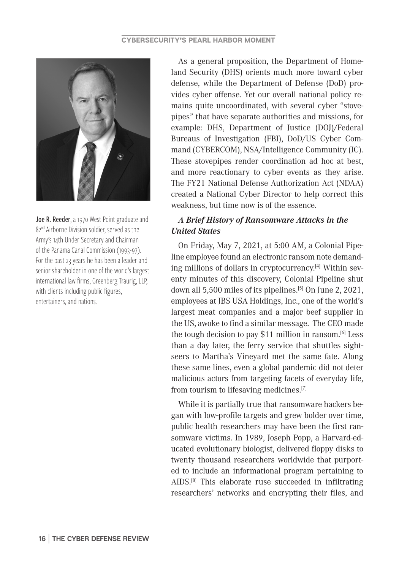

Joe R. Reeder, a 1970 West Point graduate and 82<sup>nd</sup> Airborne Division soldier, served as the Army's 14th Under Secretary and Chairman of the Panama Canal Commission (1993-97). For the past 23 years he has been a leader and senior shareholder in one of the world's largest international law firms, Greenberg Traurig, LLP, with clients including public figures, entertainers, and nations.

As a general proposition, the Department of Homeland Security (DHS) orients much more toward cyber defense, while the Department of Defense (DoD) provides cyber offense. Yet our overall national policy remains quite uncoordinated, with several cyber "stovepipes" that have separate authorities and missions, for example: DHS, Department of Justice (DOJ)/Federal Bureaus of Investigation (FBI), DoD/US Cyber Command (CYBERCOM), NSA/Intelligence Community (IC). These stovepipes render coordination ad hoc at best, and more reactionary to cyber events as they arise. The FY21 National Defense Authorization Act (NDAA) created a National Cyber Director to help correct this weakness, but time now is of the essence.

# *A Brief History of Ransomware Attacks in the United States*

On Friday, May 7, 2021, at 5:00 AM, a Colonial Pipeline employee found an electronic ransom note demanding millions of dollars in cryptocurrency.[4] Within seventy minutes of this discovery, Colonial Pipeline shut down all 5,500 miles of its pipelines.<sup>[5]</sup> On June 2, 2021, employees at JBS USA Holdings, Inc., one of the world's largest meat companies and a major beef supplier in the US, awoke to find a similar message. The CEO made the tough decision to pay \$11 million in ransom.<sup>[6]</sup> Less than a day later, the ferry service that shuttles sightseers to Martha's Vineyard met the same fate. Along these same lines, even a global pandemic did not deter malicious actors from targeting facets of everyday life, from tourism to lifesaving medicines.[7]

While it is partially true that ransomware hackers began with low-profile targets and grew bolder over time, public health researchers may have been the first ransomware victims. In 1989, Joseph Popp, a Harvard-educated evolutionary biologist, delivered floppy disks to twenty thousand researchers worldwide that purported to include an informational program pertaining to AIDS.[8] This elaborate ruse succeeded in infiltrating researchers' networks and encrypting their files, and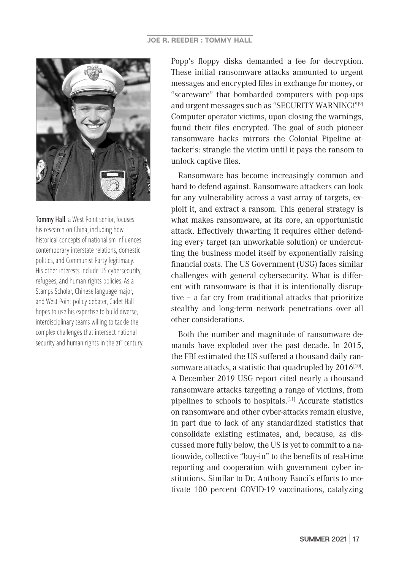

Tommy Hall, a West Point senior, focuses his research on China, including how historical concepts of nationalism influences contemporary interstate relations, domestic politics, and Communist Party legitimacy. His other interests include US cybersecurity, refugees, and human rights policies. As a Stamps Scholar, Chinese language major, and West Point policy debater, Cadet Hall hopes to use his expertise to build diverse, interdisciplinary teams willing to tackle the complex challenges that intersect national security and human rights in the 21<sup>st</sup> century.

Popp's floppy disks demanded a fee for decryption. These initial ransomware attacks amounted to urgent messages and encrypted files in exchange for money, or "scareware" that bombarded computers with pop-ups and urgent messages such as "SECURITY WARNING!"[9] Computer operator victims, upon closing the warnings, found their files encrypted. The goal of such pioneer ransomware hacks mirrors the Colonial Pipeline attacker's: strangle the victim until it pays the ransom to unlock captive files.

Ransomware has become increasingly common and hard to defend against. Ransomware attackers can look for any vulnerability across a vast array of targets, exploit it, and extract a ransom. This general strategy is what makes ransomware, at its core, an opportunistic attack. Effectively thwarting it requires either defending every target (an unworkable solution) or undercutting the business model itself by exponentially raising financial costs. The US Government (USG) faces similar challenges with general cybersecurity. What is different with ransomware is that it is intentionally disruptive – a far cry from traditional attacks that prioritize stealthy and long-term network penetrations over all other considerations.

Both the number and magnitude of ransomware demands have exploded over the past decade. In 2015, the FBI estimated the US suffered a thousand daily ransomware attacks, a statistic that quadrupled by  $2016^{[10]}$ . A December 2019 USG report cited nearly a thousand ransomware attacks targeting a range of victims, from pipelines to schools to hospitals.<sup>[11]</sup> Accurate statistics on ransomware and other cyber-attacks remain elusive, in part due to lack of any standardized statistics that consolidate existing estimates, and, because, as discussed more fully below, the US is yet to commit to a nationwide, collective "buy-in" to the benefits of real-time reporting and cooperation with government cyber institutions. Similar to Dr. Anthony Fauci's efforts to motivate 100 percent COVID-19 vaccinations, catalyzing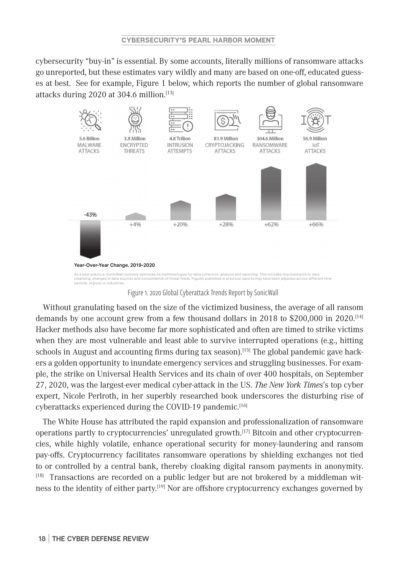cybersecurity "buy-in" is essential. By some accounts, literally millions of ransomware attacks go unreported, but these estimates vary wildly and many are based on one-off, educated guesses at best. See for example, Figure 1 below, which reports the number of global ransomware attacks during 2020 at 304.6 million.[13] 3.8 Million ra many are  $8.98328$ I **I** WHEN  $\frac{1}{2}$   $\frac{1}{2}$ **RANSOMWARE**  $304.00 \text{ m}$ **IoT**  $56.9$ **MALWARE**  $5d$  biit



Figure 1. 2020 Global Cyberattack Trends Report by SonicWall

Hacker methods also have become far more sophisticated and often are timed to strike victims Without granulating based on the size of the victimized business, the average of all ransom demands by one account grew from a few thousand dollars in 2018 to \$200,000 in 2020.[14] when they are most vulnerable and least able to survive interrupted operations (e.g., hitting schools in August and accounting firms during tax season).<sup>[15]</sup> The global pandemic gave hackers a golden opportunity to inundate emergency services and struggling businesses. For example, the strike on Universal Health Services and its chain of over 400 hospitals, on September 27, 2020, was the largest-ever medical cyber-attack in the US. *The New York Times*'s top cyber expert, Nicole Perlroth, in her superbly researched book underscores the disturbing rise of cyberattacks experienced during the COVID-19 pandemic.[16]

The White House has attributed the rapid expansion and professionalization of ransomware operations partly to cryptocurrencies' unregulated growth.[17] Bitcoin and other cryptocurrencies, while highly volatile, enhance operational security for money-laundering and ransom pay-offs. Cryptocurrency facilitates ransomware operations by shielding exchanges not tied to or controlled by a central bank, thereby cloaking digital ransom payments in anonymity.  $[18]$  Transactions are recorded on a public ledger but are not brokered by a middleman witness to the identity of either party.[19] Nor are offshore cryptocurrency exchanges governed by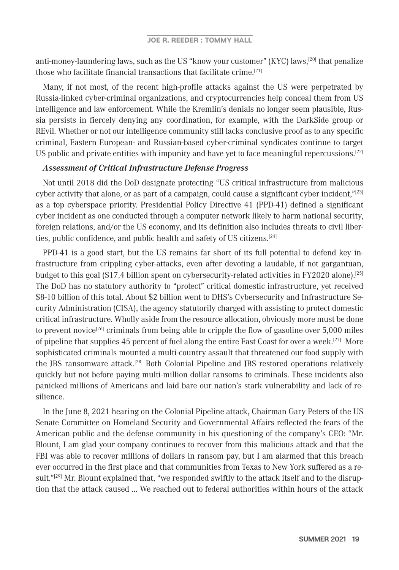anti-money-laundering laws, such as the US "know your customer" (KYC) laws,<sup>[20]</sup> that penalize those who facilitate financial transactions that facilitate crime.[21]

Many, if not most, of the recent high-profile attacks against the US were perpetrated by Russia-linked cyber-criminal organizations, and cryptocurrencies help conceal them from US intelligence and law enforcement. While the Kremlin's denials no longer seem plausible, Russia persists in fiercely denying any coordination, for example, with the DarkSide group or REvil. Whether or not our intelligence community still lacks conclusive proof as to any specific criminal, Eastern European- and Russian-based cyber-criminal syndicates continue to target US public and private entities with impunity and have yet to face meaningful repercussions.[22]

## *Assessment of Critical Infrastructure Defense Progress*

Not until 2018 did the DoD designate protecting "US critical infrastructure from malicious cyber activity that alone, or as part of a campaign, could cause a significant cyber incident, $"^{[23]}$ as a top cyberspace priority. Presidential Policy Directive 41 (PPD-41) defined a significant cyber incident as one conducted through a computer network likely to harm national security, foreign relations, and/or the US economy, and its definition also includes threats to civil liberties, public confidence, and public health and safety of US citizens.[24]

PPD-41 is a good start, but the US remains far short of its full potential to defend key infrastructure from crippling cyber-attacks, even after devoting a laudable, if not gargantuan, budget to this goal (\$17.4 billion spent on cybersecurity-related activities in FY2020 alone).[25] The DoD has no statutory authority to "protect" critical domestic infrastructure, yet received \$8-10 billion of this total. About \$2 billion went to DHS's Cybersecurity and Infrastructure Security Administration (CISA), the agency statutorily charged with assisting to protect domestic critical infrastructure. Wholly aside from the resource allocation, obviously more must be done to prevent novice<sup>[26]</sup> criminals from being able to cripple the flow of gasoline over 5,000 miles of pipeline that supplies 45 percent of fuel along the entire East Coast for over a week.[27] More sophisticated criminals mounted a multi-country assault that threatened our food supply with the JBS ransomware attack.<sup>[28]</sup> Both Colonial Pipeline and JBS restored operations relatively quickly but not before paying multi-million dollar ransoms to criminals. These incidents also panicked millions of Americans and laid bare our nation's stark vulnerability and lack of resilience.

In the June 8, 2021 hearing on the Colonial Pipeline attack, Chairman Gary Peters of the US Senate Committee on Homeland Security and Governmental Affairs reflected the fears of the American public and the defense community in his questioning of the company's CEO: "Mr. Blount, I am glad your company continues to recover from this malicious attack and that the FBI was able to recover millions of dollars in ransom pay, but I am alarmed that this breach ever occurred in the first place and that communities from Texas to New York suffered as a result."<sup>[29]</sup> Mr. Blount explained that, "we responded swiftly to the attack itself and to the disruption that the attack caused … We reached out to federal authorities within hours of the attack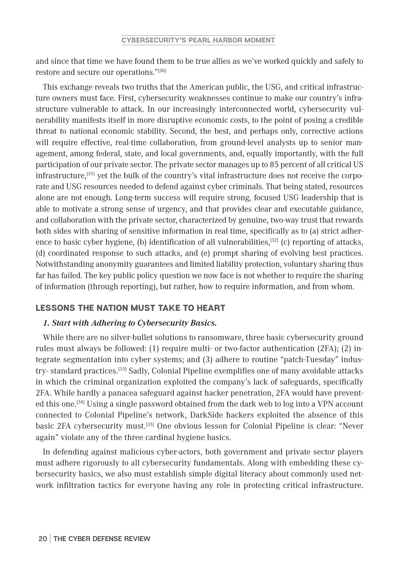and since that time we have found them to be true allies as we've worked quickly and safely to restore and secure our operations."[30]

This exchange reveals two truths that the American public, the USG, and critical infrastructure owners must face. First, cybersecurity weaknesses continue to make our country's infrastructure vulnerable to attack. In our increasingly interconnected world, cybersecurity vulnerability manifests itself in more disruptive economic costs, to the point of posing a credible threat to national economic stability. Second, the best, and perhaps only, corrective actions will require effective, real-time collaboration, from ground-level analysts up to senior management, among federal, state, and local governments, and, equally importantly, with the full participation of our private sector. The private sector manages up to 85 percent of all critical US infrastructure,<sup>[31]</sup> yet the bulk of the country's vital infrastructure does not receive the corporate and USG resources needed to defend against cyber criminals. That being stated, resources alone are not enough. Long-term success will require strong, focused USG leadership that is able to motivate a strong sense of urgency, and that provides clear and executable guidance, and collaboration with the private sector, characterized by genuine, two-way trust that rewards both sides with sharing of sensitive information in real time, specifically as to (a) strict adherence to basic cyber hygiene, (b) identification of all vulnerabilities, $[32]$  (c) reporting of attacks, (d) coordinated response to such attacks, and (e) prompt sharing of evolving best practices. Notwithstanding anonymity guarantees and limited liability protection, voluntary sharing thus far has failed. The key public policy question we now face is not whether to require the sharing of information (through reporting), but rather, how to require information, and from whom.

## LESSONS THE NATION MUST TAKE TO HEART

## *1. Start with Adhering to Cybersecurity Basics.*

While there are no silver-bullet solutions to ransomware, three basic cybersecurity ground rules must always be followed: (1) require multi- or two-factor authentication (2FA); (2) integrate segmentation into cyber systems; and (3) adhere to routine "patch-Tuesday" industry- standard practices.[33] Sadly, Colonial Pipeline exemplifies one of many avoidable attacks in which the criminal organization exploited the company's lack of safeguards, specifically 2FA. While hardly a panacea safeguard against hacker penetration, 2FA would have prevented this one.[34] Using a single password obtained from the dark web to log into a VPN account connected to Colonial Pipeline's network, DarkSide hackers exploited the absence of this basic 2FA cybersecurity must.[35] One obvious lesson for Colonial Pipeline is clear: "Never again" violate any of the three cardinal hygiene basics.

In defending against malicious cyber-actors, both government and private sector players must adhere rigorously to all cybersecurity fundamentals. Along with embedding these cybersecurity basics, we also must establish simple digital literacy about commonly used network infiltration tactics for everyone having any role in protecting critical infrastructure.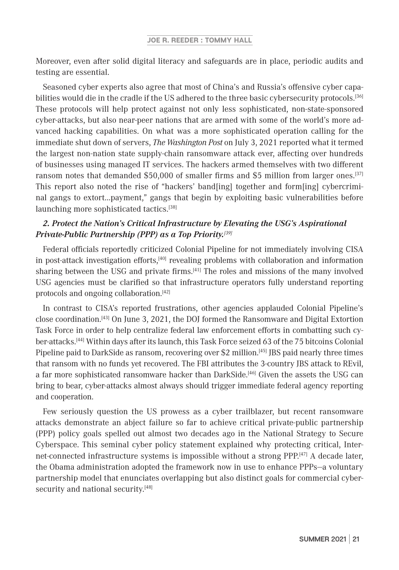Moreover, even after solid digital literacy and safeguards are in place, periodic audits and testing are essential.

Seasoned cyber experts also agree that most of China's and Russia's offensive cyber capabilities would die in the cradle if the US adhered to the three basic cybersecurity protocols.[36] These protocols will help protect against not only less sophisticated, non-state-sponsored cyber-attacks, but also near-peer nations that are armed with some of the world's more advanced hacking capabilities. On what was a more sophisticated operation calling for the immediate shut down of servers, *The Washington Post* on July 3, 2021 reported what it termed the largest non-nation state supply-chain ransomware attack ever, affecting over hundreds of businesses using managed IT services. The hackers armed themselves with two different ransom notes that demanded \$50,000 of smaller firms and \$5 million from larger ones.<sup>[37]</sup> This report also noted the rise of "hackers' band[ing] together and form[ing] cybercriminal gangs to extort…payment," gangs that begin by exploiting basic vulnerabilities before launching more sophisticated tactics.<sup>[38]</sup>

# *2. Protect the Nation's Critical Infrastructure by Elevating the USG's Aspirational Private-Public Partnership (PPP) as a Top Priority.[39]*

Federal officials reportedly criticized Colonial Pipeline for not immediately involving CISA in post-attack investigation efforts,<sup>[40]</sup> revealing problems with collaboration and information sharing between the USG and private firms. $[41]$  The roles and missions of the many involved USG agencies must be clarified so that infrastructure operators fully understand reporting protocols and ongoing collaboration.[42]

In contrast to CISA's reported frustrations, other agencies applauded Colonial Pipeline's close coordination.[43] On June 3, 2021, the DOJ formed the Ransomware and Digital Extortion Task Force in order to help centralize federal law enforcement efforts in combatting such cyber-attacks.[44] Within days after its launch, this Task Force seized 63 of the 75 bitcoins Colonial Pipeline paid to DarkSide as ransom, recovering over \$2 million.[45] JBS paid nearly three times that ransom with no funds yet recovered. The FBI attributes the 3-country JBS attack to REvil, a far more sophisticated ransomware hacker than DarkSide.[46] Given the assets the USG can bring to bear, cyber-attacks almost always should trigger immediate federal agency reporting and cooperation.

Few seriously question the US prowess as a cyber trailblazer, but recent ransomware attacks demonstrate an abject failure so far to achieve critical private-public partnership (PPP) policy goals spelled out almost two decades ago in the National Strategy to Secure Cyberspace. This seminal cyber policy statement explained why protecting critical, Internet-connected infrastructure systems is impossible without a strong PPP.[47] A decade later, the Obama administration adopted the framework now in use to enhance PPPs—a voluntary partnership model that enunciates overlapping but also distinct goals for commercial cybersecurity and national security.<sup>[48]</sup>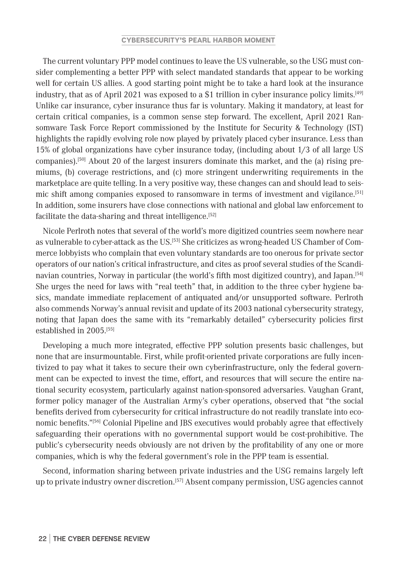The current voluntary PPP model continues to leave the US vulnerable, so the USG must consider complementing a better PPP with select mandated standards that appear to be working well for certain US allies. A good starting point might be to take a hard look at the insurance industry, that as of April 2021 was exposed to a \$1 trillion in cyber insurance policy limits.<sup>[49]</sup> Unlike car insurance, cyber insurance thus far is voluntary. Making it mandatory, at least for certain critical companies, is a common sense step forward. The excellent, April 2021 Ransomware Task Force Report commissioned by the Institute for Security & Technology (IST) highlights the rapidly evolving role now played by privately placed cyber insurance. Less than 15% of global organizations have cyber insurance today, (including about 1/3 of all large US companies).[50] About 20 of the largest insurers dominate this market, and the (a) rising premiums, (b) coverage restrictions, and (c) more stringent underwriting requirements in the marketplace are quite telling. In a very positive way, these changes can and should lead to seismic shift among companies exposed to ransomware in terms of investment and vigilance.[51] In addition, some insurers have close connections with national and global law enforcement to facilitate the data-sharing and threat intelligence.<sup>[52]</sup>

Nicole Perlroth notes that several of the world's more digitized countries seem nowhere near as vulnerable to cyber-attack as the US.[53] She criticizes as wrong-headed US Chamber of Commerce lobbyists who complain that even voluntary standards are too onerous for private sector operators of our nation's critical infrastructure, and cites as proof several studies of the Scandinavian countries, Norway in particular (the world's fifth most digitized country), and Japan.<sup>[54]</sup> She urges the need for laws with "real teeth" that, in addition to the three cyber hygiene basics, mandate immediate replacement of antiquated and/or unsupported software. Perlroth also commends Norway's annual revisit and update of its 2003 national cybersecurity strategy, noting that Japan does the same with its "remarkably detailed" cybersecurity policies first established in 2005.[55]

Developing a much more integrated, effective PPP solution presents basic challenges, but none that are insurmountable. First, while profit-oriented private corporations are fully incentivized to pay what it takes to secure their own cyberinfrastructure, only the federal government can be expected to invest the time, effort, and resources that will secure the entire national security ecosystem, particularly against nation-sponsored adversaries. Vaughan Grant, former policy manager of the Australian Army's cyber operations, observed that "the social benefits derived from cybersecurity for critical infrastructure do not readily translate into economic benefits."<sup>[56]</sup> Colonial Pipeline and JBS executives would probably agree that effectively safeguarding their operations with no governmental support would be cost-prohibitive. The public's cybersecurity needs obviously are not driven by the profitability of any one or more companies, which is why the federal government's role in the PPP team is essential.

Second, information sharing between private industries and the USG remains largely left up to private industry owner discretion.<sup>[57]</sup> Absent company permission, USG agencies cannot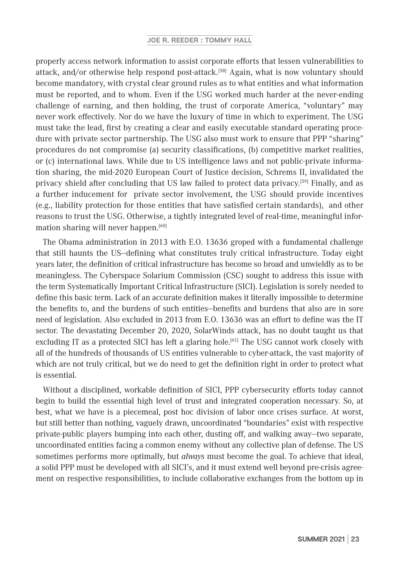properly access network information to assist corporate efforts that lessen vulnerabilities to attack, and/or otherwise help respond post-attack.[58] Again, what is now voluntary should become mandatory, with crystal clear ground rules as to what entities and what information must be reported, and to whom. Even if the USG worked much harder at the never-ending challenge of earning, and then holding, the trust of corporate America, "voluntary" may never work effectively. Nor do we have the luxury of time in which to experiment. The USG must take the lead, first by creating a clear and easily executable standard operating procedure with private sector partnership. The USG also must work to ensure that PPP "sharing" procedures do not compromise (a) security classifications, (b) competitive market realities, or (c) international laws. While due to US intelligence laws and not public-private information sharing, the mid-2020 European Court of Justice decision, Schrems II, invalidated the privacy shield after concluding that US law failed to protect data privacy.<sup>[59]</sup> Finally, and as a further inducement for private sector involvement, the USG should provide incentives (e.g., liability protection for those entities that have satisfied certain standards), and other reasons to trust the USG. Otherwise, a tightly integrated level of real-time, meaningful information sharing will never happen.<sup>[60]</sup>

The Obama administration in 2013 with E.O. 13636 groped with a fundamental challenge that still haunts the US—defining what constitutes truly critical infrastructure. Today eight years later, the definition of critical infrastructure has become so broad and unwieldly as to be meaningless. The Cyberspace Solarium Commission (CSC) sought to address this issue with the term Systematically Important Critical Infrastructure (SICI). Legislation is sorely needed to define this basic term. Lack of an accurate definition makes it literally impossible to determine the benefits to, and the burdens of such entities—benefits and burdens that also are in sore need of legislation. Also excluded in 2013 from E.O. 13636 was an effort to define was the IT sector. The devastating December 20, 2020, SolarWinds attack, has no doubt taught us that excluding IT as a protected SICI has left a glaring hole.<sup>[61]</sup> The USG cannot work closely with all of the hundreds of thousands of US entities vulnerable to cyber-attack, the vast majority of which are not truly critical, but we do need to get the definition right in order to protect what is essential.

Without a disciplined, workable definition of SICI, PPP cybersecurity efforts today cannot begin to build the essential high level of trust and integrated cooperation necessary. So, at best, what we have is a piecemeal, post hoc division of labor once crises surface. At worst, but still better than nothing, vaguely drawn, uncoordinated "boundaries" exist with respective private-public players bumping into each other, dusting off, and walking away—two separate, uncoordinated entities facing a common enemy without any collective plan of defense. The US sometimes performs more optimally, but *always* must become the goal. To achieve that ideal, a solid PPP must be developed with all SICI's, and it must extend well beyond pre-crisis agreement on respective responsibilities, to include collaborative exchanges from the bottom up in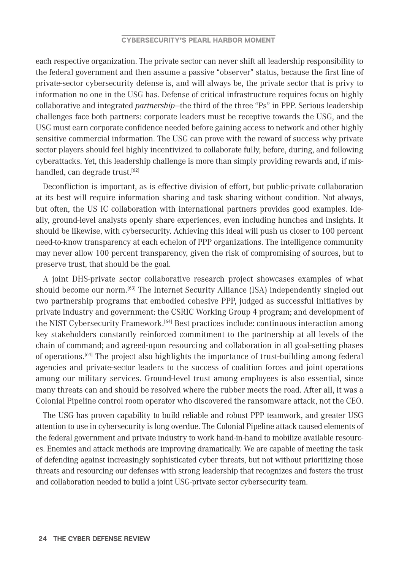each respective organization. The private sector can never shift all leadership responsibility to the federal government and then assume a passive "observer" status, because the first line of private-sector cybersecurity defense is, and will always be, the private sector that is privy to information no one in the USG has. Defense of critical infrastructure requires focus on highly collaborative and integrated *partnership*—the third of the three "Ps" in PPP. Serious leadership challenges face both partners: corporate leaders must be receptive towards the USG, and the USG must earn corporate confidence needed before gaining access to network and other highly sensitive commercial information. The USG can prove with the reward of success why private sector players should feel highly incentivized to collaborate fully, before, during, and following cyberattacks. Yet, this leadership challenge is more than simply providing rewards and, if mishandled, can degrade trust.<sup>[62]</sup>

Deconfliction is important, as is effective division of effort, but public-private collaboration at its best will require information sharing and task sharing without condition. Not always, but often, the US IC collaboration with international partners provides good examples. Ideally, ground-level analysts openly share experiences, even including hunches and insights. It should be likewise, with cybersecurity. Achieving this ideal will push us closer to 100 percent need-to-know transparency at each echelon of PPP organizations. The intelligence community may never allow 100 percent transparency, given the risk of compromising of sources, but to preserve trust, that should be the goal.

A joint DHS-private sector collaborative research project showcases examples of what should become our norm.[63] The Internet Security Alliance (ISA) independently singled out two partnership programs that embodied cohesive PPP, judged as successful initiatives by private industry and government: the CSRIC Working Group 4 program; and development of the NIST Cybersecurity Framework.[64] Best practices include: continuous interaction among key stakeholders constantly reinforced commitment to the partnership at all levels of the chain of command; and agreed-upon resourcing and collaboration in all goal-setting phases of operations.[64] The project also highlights the importance of trust-building among federal agencies and private-sector leaders to the success of coalition forces and joint operations among our military services. Ground-level trust among employees is also essential, since many threats can and should be resolved where the rubber meets the road. After all, it was a Colonial Pipeline control room operator who discovered the ransomware attack, not the CEO.

The USG has proven capability to build reliable and robust PPP teamwork, and greater USG attention to use in cybersecurity is long overdue. The Colonial Pipeline attack caused elements of the federal government and private industry to work hand-in-hand to mobilize available resources. Enemies and attack methods are improving dramatically. We are capable of meeting the task of defending against increasingly sophisticated cyber threats, but not without prioritizing those threats and resourcing our defenses with strong leadership that recognizes and fosters the trust and collaboration needed to build a joint USG-private sector cybersecurity team.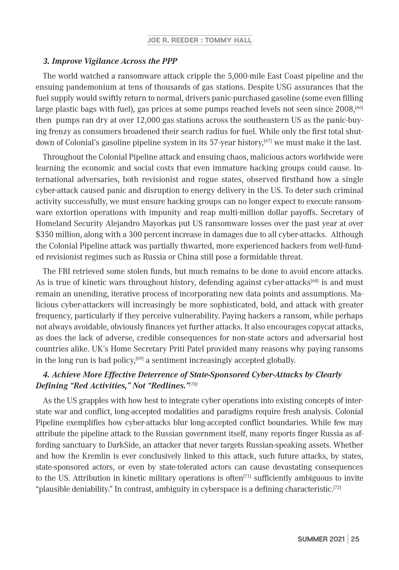#### *3. Improve Vigilance Across the PPP*

The world watched a ransomware attack cripple the 5,000-mile East Coast pipeline and the ensuing pandemonium at tens of thousands of gas stations. Despite USG assurances that the fuel supply would swiftly return to normal, drivers panic-purchased gasoline (some even filling large plastic bags with fuel), gas prices at some pumps reached levels not seen since 2008,<sup>[66]</sup> then pumps ran dry at over 12,000 gas stations across the southeastern US as the panic-buying frenzy as consumers broadened their search radius for fuel. While only the first total shutdown of Colonial's gasoline pipeline system in its 57-year history,[67] we must make it the last.

Throughout the Colonial Pipeline attack and ensuing chaos, malicious actors worldwide were learning the economic and social costs that even immature hacking groups could cause. International adversaries, both revisionist and rogue states, observed firsthand how a single cyber-attack caused panic and disruption to energy delivery in the US. To deter such criminal activity successfully, we must ensure hacking groups can no longer expect to execute ransomware extortion operations with impunity and reap multi-million dollar payoffs. Secretary of Homeland Security Alejandro Mayorkas put US ransomware losses over the past year at over \$350 million, along with a 300 percent increase in damages due to all cyber-attacks. Although the Colonial Pipeline attack was partially thwarted, more experienced hackers from well-funded revisionist regimes such as Russia or China still pose a formidable threat.

The FBI retrieved some stolen funds, but much remains to be done to avoid encore attacks. As is true of kinetic wars throughout history, defending against cyber-attacks<sup>[68]</sup> is and must remain an unending, iterative process of incorporating new data points and assumptions. Malicious cyber-attackers will increasingly be more sophisticated, bold, and attack with greater frequency, particularly if they perceive vulnerability. Paying hackers a ransom, while perhaps not always avoidable, obviously finances yet further attacks. It also encourages copycat attacks, as does the lack of adverse, credible consequences for non-state actors and adversarial host countries alike. UK's Home Secretary Priti Patel provided many reasons why paying ransoms in the long run is bad policy, $[69]$  a sentiment increasingly accepted globally.

# *4. Achieve More Effective Deterrence of State-Sponsored Cyber-Attacks by Clearly Defining "Red Activities," Not "Redlines."[70]*

As the US grapples with how best to integrate cyber operations into existing concepts of interstate war and conflict, long-accepted modalities and paradigms require fresh analysis. Colonial Pipeline exemplifies how cyber-attacks blur long-accepted conflict boundaries. While few may attribute the pipeline attack to the Russian government itself, many reports finger Russia as affording sanctuary to DarkSide, an attacker that never targets Russian-speaking assets. Whether and how the Kremlin is ever conclusively linked to this attack, such future attacks, by states, state-sponsored actors, or even by state-tolerated actors can cause devastating consequences to the US. Attribution in kinetic military operations is often $[71]$  sufficiently ambiguous to invite "plausible deniability." In contrast, ambiguity in cyberspace is a defining characteristic.<sup>[72]</sup>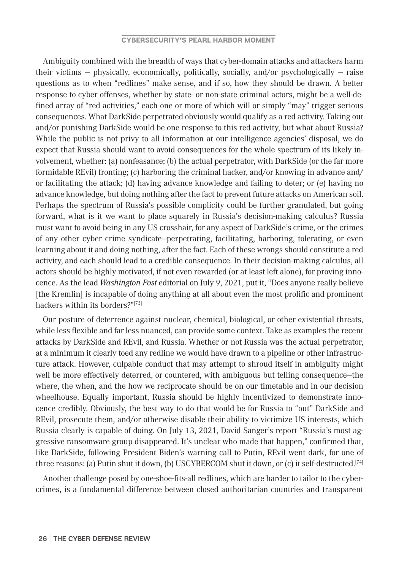Ambiguity combined with the breadth of ways that cyber-domain attacks and attackers harm their victims — physically, economically, politically, socially, and/or psychologically — raise questions as to when "redlines" make sense, and if so, how they should be drawn. A better response to cyber offenses, whether by state- or non-state criminal actors, might be a well-defined array of "red activities," each one or more of which will or simply "may" trigger serious consequences. What DarkSide perpetrated obviously would qualify as a red activity. Taking out and/or punishing DarkSide would be one response to this red activity, but what about Russia? While the public is not privy to all information at our intelligence agencies' disposal, we do expect that Russia should want to avoid consequences for the whole spectrum of its likely involvement, whether: (a) nonfeasance; (b) the actual perpetrator, with DarkSide (or the far more formidable REvil) fronting; (c) harboring the criminal hacker, and/or knowing in advance and/ or facilitating the attack; (d) having advance knowledge and failing to deter; or (e) having no advance knowledge, but doing nothing after the fact to prevent future attacks on American soil. Perhaps the spectrum of Russia's possible complicity could be further granulated, but going forward, what is it we want to place squarely in Russia's decision-making calculus? Russia must want to avoid being in any US crosshair, for any aspect of DarkSide's crime, or the crimes of any other cyber crime syndicate—perpetrating, facilitating, harboring, tolerating, or even learning about it and doing nothing, after the fact. Each of these wrongs should constitute a red activity, and each should lead to a credible consequence. In their decision-making calculus, all actors should be highly motivated, if not even rewarded (or at least left alone), for proving innocence. As the lead *Washington Post* editorial on July 9, 2021, put it, "Does anyone really believe [the Kremlin] is incapable of doing anything at all about even the most prolific and prominent hackers within its borders?"[73]

Our posture of deterrence against nuclear, chemical, biological, or other existential threats, while less flexible and far less nuanced, can provide some context. Take as examples the recent attacks by DarkSide and REvil, and Russia. Whether or not Russia was the actual perpetrator, at a minimum it clearly toed any redline we would have drawn to a pipeline or other infrastructure attack. However, culpable conduct that may attempt to shroud itself in ambiguity might well be more effectively deterred, or countered, with ambiguous but telling consequence—the where, the when, and the how we reciprocate should be on our timetable and in our decision wheelhouse. Equally important, Russia should be highly incentivized to demonstrate innocence credibly. Obviously, the best way to do that would be for Russia to "out" DarkSide and REvil, prosecute them, and/or otherwise disable their ability to victimize US interests, which Russia clearly is capable of doing. On July 13, 2021, David Sanger's report "Russia's most aggressive ransomware group disappeared. It's unclear who made that happen," confirmed that, like DarkSide, following President Biden's warning call to Putin, REvil went dark, for one of three reasons: (a) Putin shut it down, (b) USCYBERCOM shut it down, or (c) it self-destructed.[74]

Another challenge posed by one-shoe-fits-all redlines, which are harder to tailor to the cybercrimes, is a fundamental difference between closed authoritarian countries and transparent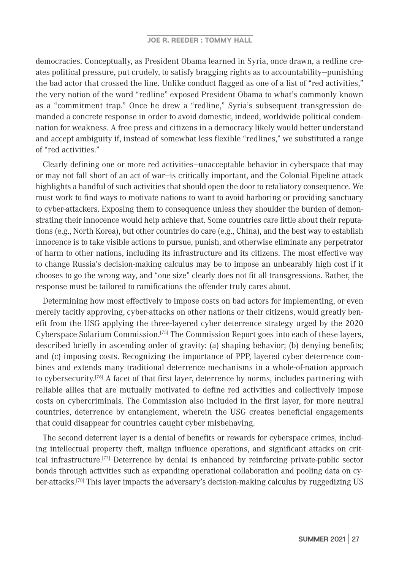democracies. Conceptually, as President Obama learned in Syria, once drawn, a redline creates political pressure, put crudely, to satisfy bragging rights as to accountability—punishing the bad actor that crossed the line. Unlike conduct flagged as one of a list of "red activities," the very notion of the word "redline" exposed President Obama to what's commonly known as a "commitment trap." Once he drew a "redline," Syria's subsequent transgression demanded a concrete response in order to avoid domestic, indeed, worldwide political condemnation for weakness. A free press and citizens in a democracy likely would better understand and accept ambiguity if, instead of somewhat less flexible "redlines," we substituted a range of "red activities."

Clearly defining one or more red activities—unacceptable behavior in cyberspace that may or may not fall short of an act of war—is critically important, and the Colonial Pipeline attack highlights a handful of such activities that should open the door to retaliatory consequence. We must work to find ways to motivate nations to want to avoid harboring or providing sanctuary to cyber-attackers. Exposing them to consequence unless they shoulder the burden of demonstrating their innocence would help achieve that. Some countries care little about their reputations (e.g., North Korea), but other countries do care (e.g., China), and the best way to establish innocence is to take visible actions to pursue, punish, and otherwise eliminate any perpetrator of harm to other nations, including its infrastructure and its citizens. The most effective way to change Russia's decision-making calculus may be to impose an unbearably high cost if it chooses to go the wrong way, and "one size" clearly does not fit all transgressions. Rather, the response must be tailored to ramifications the offender truly cares about.

Determining how most effectively to impose costs on bad actors for implementing, or even merely tacitly approving, cyber-attacks on other nations or their citizens, would greatly benefit from the USG applying the three-layered cyber deterrence strategy urged by the 2020 Cyberspace Solarium Commission.[75] The Commission Report goes into each of these layers, described briefly in ascending order of gravity: (a) shaping behavior; (b) denying benefits; and (c) imposing costs. Recognizing the importance of PPP, layered cyber deterrence combines and extends many traditional deterrence mechanisms in a whole-of-nation approach to cybersecurity.<sup>[76]</sup> A facet of that first layer, deterrence by norms, includes partnering with reliable allies that are mutually motivated to define red activities and collectively impose costs on cybercriminals. The Commission also included in the first layer, for more neutral countries, deterrence by entanglement, wherein the USG creates beneficial engagements that could disappear for countries caught cyber misbehaving.

The second deterrent layer is a denial of benefits or rewards for cyberspace crimes, including intellectual property theft, malign influence operations, and significant attacks on critical infrastructure.[77] Deterrence by denial is enhanced by reinforcing private-public sector bonds through activities such as expanding operational collaboration and pooling data on cyber-attacks.<sup>[78]</sup> This layer impacts the adversary's decision-making calculus by ruggedizing US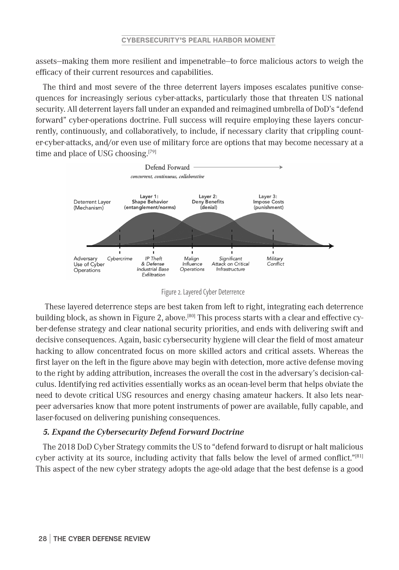assets—making them more resilient and impenetrable—to force malicious actors to weigh the efficacy of their current resources and capabilities.

The third and most severe of the three deterrent layers imposes escalates punitive consequences for increasingly serious cyber-attacks, particularly those that threaten US national security. All deterrent layers fall under an expanded and reimagined umbrella of DoD's "defend forward" cyber-operations doctrine. Full success will require employing these layers concurrently, continuously, and collaboratively, to include, if necessary clarity that crippling counter-cyber-attacks, and/or even use of military force are options that may become necessary at a time and place of USG choosing.<sup>[79]</sup>



Figure 2. Layered Cyber Deterrence

 These layered deterrence steps are best taken from left to right, integrating each deterrence building block, as shown in Figure 2, above.<sup>[80]</sup> This process starts with a clear and effective cyber-defense strategy and clear national security priorities, and ends with delivering swift and decisive consequences. Again, basic cybersecurity hygiene will clear the field of most amateur hacking to allow concentrated focus on more skilled actors and critical assets. Whereas the first layer on the left in the figure above may begin with detection, more active defense moving to the right by adding attribution, increases the overall the cost in the adversary's decision-calculus. Identifying red activities essentially works as an ocean-level berm that helps obviate the need to devote critical USG resources and energy chasing amateur hackers. It also lets nearpeer adversaries know that more potent instruments of power are available, fully capable, and laser-focused on delivering punishing consequences.

## *5. Expand the Cybersecurity Defend Forward Doctrine*

The 2018 DoD Cyber Strategy commits the US to "defend forward to disrupt or halt malicious cyber activity at its source, including activity that falls below the level of armed conflict." $[81]$ This aspect of the new cyber strategy adopts the age-old adage that the best defense is a good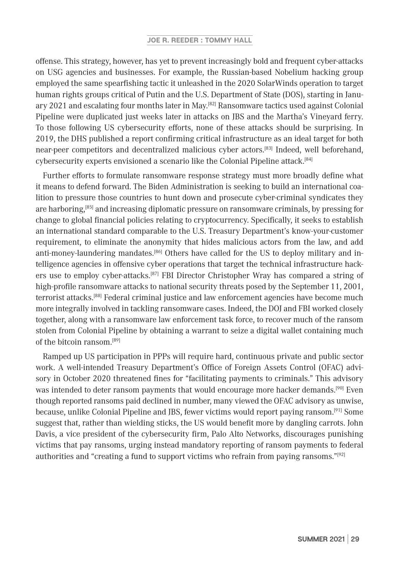offense. This strategy, however, has yet to prevent increasingly bold and frequent cyber-attacks on USG agencies and businesses. For example, the Russian-based Nobelium hacking group employed the same spearfishing tactic it unleashed in the 2020 SolarWinds operation to target human rights groups critical of Putin and the U.S. Department of State (DOS), starting in January 2021 and escalating four months later in May.<sup>[82]</sup> Ransomware tactics used against Colonial Pipeline were duplicated just weeks later in attacks on JBS and the Martha's Vineyard ferry. To those following US cybersecurity efforts, none of these attacks should be surprising. In 2019, the DHS published a report confirming critical infrastructure as an ideal target for both near-peer competitors and decentralized malicious cyber actors.[83] Indeed, well beforehand, cybersecurity experts envisioned a scenario like the Colonial Pipeline attack.[84]

Further efforts to formulate ransomware response strategy must more broadly define what it means to defend forward. The Biden Administration is seeking to build an international coalition to pressure those countries to hunt down and prosecute cyber-criminal syndicates they are harboring,<sup>[85]</sup> and increasing diplomatic pressure on ransomware criminals, by pressing for change to global financial policies relating to cryptocurrency. Specifically, it seeks to establish an international standard comparable to the U.S. Treasury Department's know-your-customer requirement, to eliminate the anonymity that hides malicious actors from the law, and add anti-money-laundering mandates.[86] Others have called for the US to deploy military and intelligence agencies in offensive cyber operations that target the technical infrastructure hackers use to employ cyber-attacks.[87] FBI Director Christopher Wray has compared a string of high-profile ransomware attacks to national security threats posed by the September 11, 2001, terrorist attacks.[88] Federal criminal justice and law enforcement agencies have become much more integrally involved in tackling ransomware cases. Indeed, the DOJ and FBI worked closely together, along with a ransomware law enforcement task force, to recover much of the ransom stolen from Colonial Pipeline by obtaining a warrant to seize a digital wallet containing much of the bitcoin ransom.[89]

Ramped up US participation in PPPs will require hard, continuous private and public sector work. A well-intended Treasury Department's Office of Foreign Assets Control (OFAC) advisory in October 2020 threatened fines for "facilitating payments to criminals." This advisory was intended to deter ransom payments that would encourage more hacker demands.<sup>[90]</sup> Even though reported ransoms paid declined in number, many viewed the OFAC advisory as unwise, because, unlike Colonial Pipeline and JBS, fewer victims would report paying ransom.[91] Some suggest that, rather than wielding sticks, the US would benefit more by dangling carrots. John Davis, a vice president of the cybersecurity firm, Palo Alto Networks, discourages punishing victims that pay ransoms, urging instead mandatory reporting of ransom payments to federal authorities and "creating a fund to support victims who refrain from paying ransoms."[92]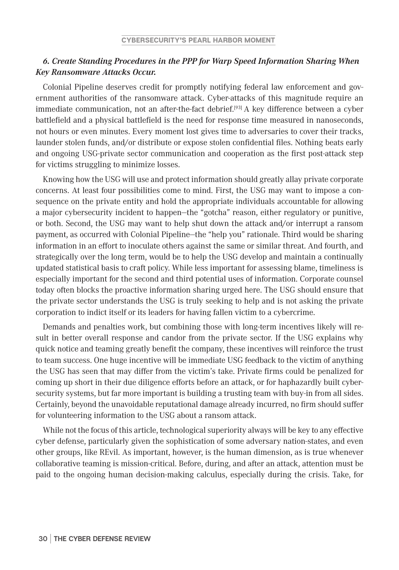# *6. Create Standing Procedures in the PPP for Warp Speed Information Sharing When Key Ransomware Attacks Occur.*

Colonial Pipeline deserves credit for promptly notifying federal law enforcement and government authorities of the ransomware attack. Cyber-attacks of this magnitude require an immediate communication, not an after-the-fact debrief.<sup>[93]</sup> A key difference between a cyber battlefield and a physical battlefield is the need for response time measured in nanoseconds, not hours or even minutes. Every moment lost gives time to adversaries to cover their tracks, launder stolen funds, and/or distribute or expose stolen confidential files. Nothing beats early and ongoing USG-private sector communication and cooperation as the first post-attack step for victims struggling to minimize losses.

Knowing how the USG will use and protect information should greatly allay private corporate concerns. At least four possibilities come to mind. First, the USG may want to impose a consequence on the private entity and hold the appropriate individuals accountable for allowing a major cybersecurity incident to happen—the "gotcha" reason, either regulatory or punitive, or both. Second, the USG may want to help shut down the attack and/or interrupt a ransom payment, as occurred with Colonial Pipeline—the "help you" rationale. Third would be sharing information in an effort to inoculate others against the same or similar threat. And fourth, and strategically over the long term, would be to help the USG develop and maintain a continually updated statistical basis to craft policy. While less important for assessing blame, timeliness is especially important for the second and third potential uses of information. Corporate counsel today often blocks the proactive information sharing urged here. The USG should ensure that the private sector understands the USG is truly seeking to help and is not asking the private corporation to indict itself or its leaders for having fallen victim to a cybercrime.

Demands and penalties work, but combining those with long-term incentives likely will result in better overall response and candor from the private sector. If the USG explains why quick notice and teaming greatly benefit the company, these incentives will reinforce the trust to team success. One huge incentive will be immediate USG feedback to the victim of anything the USG has seen that may differ from the victim's take. Private firms could be penalized for coming up short in their due diligence efforts before an attack, or for haphazardly built cybersecurity systems, but far more important is building a trusting team with buy-in from all sides. Certainly, beyond the unavoidable reputational damage already incurred, no firm should suffer for volunteering information to the USG about a ransom attack.

While not the focus of this article, technological superiority always will be key to any effective cyber defense, particularly given the sophistication of some adversary nation-states, and even other groups, like REvil. As important, however, is the human dimension, as is true whenever collaborative teaming is mission-critical. Before, during, and after an attack, attention must be paid to the ongoing human decision-making calculus, especially during the crisis. Take, for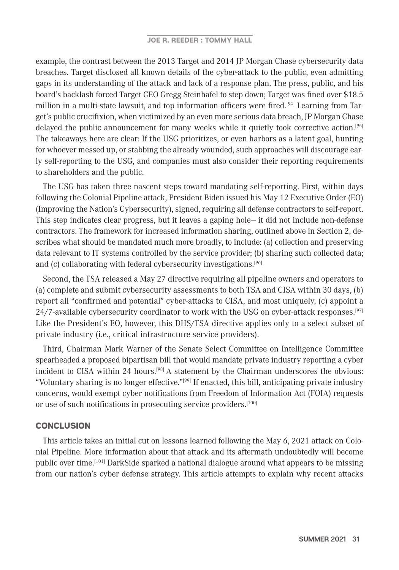example, the contrast between the 2013 Target and 2014 JP Morgan Chase cybersecurity data breaches. Target disclosed all known details of the cyber-attack to the public, even admitting gaps in its understanding of the attack and lack of a response plan. The press, public, and his board's backlash forced Target CEO Gregg Steinhafel to step down; Target was fined over \$18.5 million in a multi-state lawsuit, and top information officers were fired.<sup>[94]</sup> Learning from Target's public crucifixion, when victimized by an even more serious data breach, JP Morgan Chase delayed the public announcement for many weeks while it quietly took corrective action.[95] The takeaways here are clear: If the USG prioritizes, or even harbors as a latent goal, hunting for whoever messed up, or stabbing the already wounded, such approaches will discourage early self-reporting to the USG, and companies must also consider their reporting requirements to shareholders and the public.

The USG has taken three nascent steps toward mandating self-reporting. First, within days following the Colonial Pipeline attack, President Biden issued his May 12 Executive Order (EO) (Improving the Nation's Cybersecurity), signed, requiring all defense contractors to self-report. This step indicates clear progress, but it leaves a gaping hole— it did not include non-defense contractors. The framework for increased information sharing, outlined above in Section 2, describes what should be mandated much more broadly, to include: (a) collection and preserving data relevant to IT systems controlled by the service provider; (b) sharing such collected data; and (c) collaborating with federal cybersecurity investigations.<sup>[96]</sup>

Second, the TSA released a May 27 directive requiring all pipeline owners and operators to (a) complete and submit cybersecurity assessments to both TSA and CISA within 30 days, (b) report all "confirmed and potential" cyber-attacks to CISA, and most uniquely, (c) appoint a 24/7-available cybersecurity coordinator to work with the USG on cyber-attack responses.<sup>[97]</sup> Like the President's EO, however, this DHS/TSA directive applies only to a select subset of private industry (i.e., critical infrastructure service providers).

Third, Chairman Mark Warner of the Senate Select Committee on Intelligence Committee spearheaded a proposed bipartisan bill that would mandate private industry reporting a cyber incident to CISA within 24 hours.[98] A statement by the Chairman underscores the obvious: "Voluntary sharing is no longer effective."[99] If enacted, this bill, anticipating private industry concerns, would exempt cyber notifications from Freedom of Information Act (FOIA) requests or use of such notifications in prosecuting service providers.[100]

## **CONCLUSION**

This article takes an initial cut on lessons learned following the May 6, 2021 attack on Colonial Pipeline. More information about that attack and its aftermath undoubtedly will become public over time.[101] DarkSide sparked a national dialogue around what appears to be missing from our nation's cyber defense strategy. This article attempts to explain why recent attacks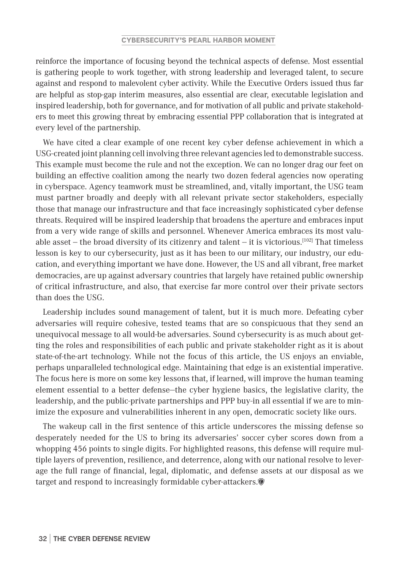reinforce the importance of focusing beyond the technical aspects of defense. Most essential is gathering people to work together, with strong leadership and leveraged talent, to secure against and respond to malevolent cyber activity. While the Executive Orders issued thus far are helpful as stop-gap interim measures, also essential are clear, executable legislation and inspired leadership, both for governance, and for motivation of all public and private stakeholders to meet this growing threat by embracing essential PPP collaboration that is integrated at every level of the partnership.

We have cited a clear example of one recent key cyber defense achievement in which a USG-created joint planning cell involving three relevant agencies led to demonstrable success. This example must become the rule and not the exception. We can no longer drag our feet on building an effective coalition among the nearly two dozen federal agencies now operating in cyberspace. Agency teamwork must be streamlined, and, vitally important, the USG team must partner broadly and deeply with all relevant private sector stakeholders, especially those that manage our infrastructure and that face increasingly sophisticated cyber defense threats. Required will be inspired leadership that broadens the aperture and embraces input from a very wide range of skills and personnel. Whenever America embraces its most valuable asset – the broad diversity of its citizenry and talent – it is victorious.<sup>[102]</sup> That timeless lesson is key to our cybersecurity, just as it has been to our military, our industry, our education, and everything important we have done. However, the US and all vibrant, free market democracies, are up against adversary countries that largely have retained public ownership of critical infrastructure, and also, that exercise far more control over their private sectors than does the USG.

Leadership includes sound management of talent, but it is much more. Defeating cyber adversaries will require cohesive, tested teams that are so conspicuous that they send an unequivocal message to all would-be adversaries. Sound cybersecurity is as much about getting the roles and responsibilities of each public and private stakeholder right as it is about state-of-the-art technology. While not the focus of this article, the US enjoys an enviable, perhaps unparalleled technological edge. Maintaining that edge is an existential imperative. The focus here is more on some key lessons that, if learned, will improve the human teaming element essential to a better defense—the cyber hygiene basics, the legislative clarity, the leadership, and the public-private partnerships and PPP buy-in all essential if we are to minimize the exposure and vulnerabilities inherent in any open, democratic society like ours.

The wakeup call in the first sentence of this article underscores the missing defense so desperately needed for the US to bring its adversaries' soccer cyber scores down from a whopping 456 points to single digits. For highlighted reasons, this defense will require multiple layers of prevention, resilience, and deterrence, along with our national resolve to leverage the full range of financial, legal, diplomatic, and defense assets at our disposal as we target and respond to increasingly formidable cyber-attackers.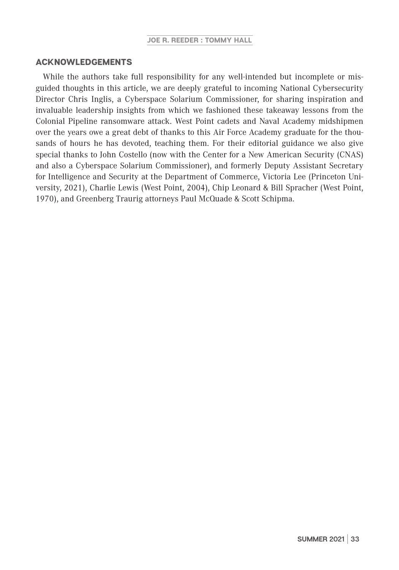### ACKNOWLEDGEMENTS

While the authors take full responsibility for any well-intended but incomplete or misguided thoughts in this article, we are deeply grateful to incoming National Cybersecurity Director Chris Inglis, a Cyberspace Solarium Commissioner, for sharing inspiration and invaluable leadership insights from which we fashioned these takeaway lessons from the Colonial Pipeline ransomware attack. West Point cadets and Naval Academy midshipmen over the years owe a great debt of thanks to this Air Force Academy graduate for the thousands of hours he has devoted, teaching them. For their editorial guidance we also give special thanks to John Costello (now with the Center for a New American Security (CNAS) and also a Cyberspace Solarium Commissioner), and formerly Deputy Assistant Secretary for Intelligence and Security at the Department of Commerce, Victoria Lee (Princeton University, 2021), Charlie Lewis (West Point, 2004), Chip Leonard & Bill Spracher (West Point, 1970), and Greenberg Traurig attorneys Paul McQuade & Scott Schipma.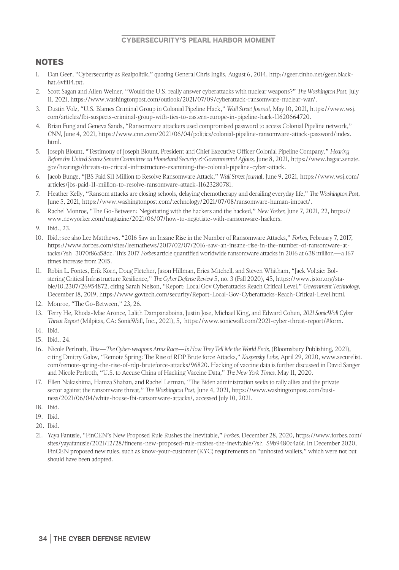- 1. Dan Geer, "Cybersecurity as Realpolitik," quoting General Chris Inglis, August 6, 2014, http://geer.tinho.net/geer.blackhat.6viii14.txt.
- 2. Scott Sagan and Allen Weiner, "Would the U.S. really answer cyberattacks with nuclear weapons?" *The Washington Post*, July 11, 2021, https://www.washingtonpost.com/outlook/2021/07/09/cyberattack-ransomware-nuclear-war/.
- 3. Dustin Volz, "U.S. Blames Criminal Group in Colonial Pipeline Hack," *Wall Street Journal,* May 10, 2021, https://www.wsj. com/articles/fbi-suspects-criminal-group-with-ties-to-eastern-europe-in-pipeline-hack-11620664720.
- 4. Brian Fung and Geneva Sands, "Ransomware attackers used compromised password to access Colonial Pipeline network," *CNN*, June 4, 2021, https://www.cnn.com/2021/06/04/politics/colonial-pipeline-ransomware-attack-password/index. html.
- 5. Joseph Blount, "Testimony of Joseph Blount, President and Chief Executive Officer Colonial Pipeline Company," *Hearing Before the United States Senate Committee on Homeland Security & Governmental Affairs,* June 8, 2021, https://www.hsgac.senate. gov/hearings/threats-to-critical-infrastructure-examining-the-colonial-pipeline-cyber-attack.
- 6. Jacob Bunge, "JBS Paid \$11 Million to Resolve Ransomware Attack," *Wall Street Journa*l, June 9, 2021, https://www.wsj.com/ articles/jbs-paid-11-million-to-resolve-ransomware-attack-11623280781.
- 7. Heather Kelly, "Ransom attacks are closing schools, delaying chemotherapy and derailing everyday life," *The Washington Post*, June 5, 2021, https://www.washingtonpost.com/technology/2021/07/08/ransomware-human-impact/.
- 8. Rachel Monroe, "The Go-Between: Negotiating with the hackers and the hacked," *New Yorker*, June 7, 2021, 22, https:// www.newyorker.com/magazine/2021/06/07/how-to-negotiate-with-ransomware-hackers.
- 9. Ibid., 23.
- 10. Ibid.; see also Lee Matthews, "2016 Saw an Insane Rise in the Number of Ransomware Attacks," *Forbes*, February 7, 2017, https://www.forbes.com/sites/leemathews/2017/02/07/2016-saw-an-insane-rise-in-the-number-of-ransomware-attacks/?sh=3070f86a58dc. This 2017 *Forbes* article quantified worldwide ransomware attacks in 2016 at 638 million—a 167 times increase from 2015.
- 11. Robin L. Fontes, Erik Korn, Doug Fletcher, Jason Hillman, Erica Mitchell, and Steven Whitham, "Jack Voltaic: Bolstering Critical Infrastructure Resilience," *The Cyber Defense Review* 5, no. 3 (Fall 2020), 45, https://www.jstor.org/stable/10.2307/26954872, citing Sarah Nelson, "Report: Local Gov Cyberattacks Reach Critical Level," *Government Technology*, December 18, 2019, https://www.govtech.com/security/Report-Local-Gov-Cyberattacks-Reach-Critical-Level.html.
- 12. Monroe, "The Go-Between," 23, 26.
- 13. Terry He, Rhoda-Mae Aronce, Lalith Dampanaboina, Justin Jose, Michael King, and Edward Cohen, *2021 SonicWall Cyber Threat Report* (Milpitas, CA: SonicWall, Inc., 2021), 5, https://www.sonicwall.com/2021-cyber-threat-report/#form.
- 14. Ibid.
- 15. Ibid., 24.
- 16. Nicole Perlroth, *This—The Cyber-weapons Arms Race—Is How They Tell Me the World Ends,* (Bloomsbury Publishing, 2021), citing Dmitry Galov, "Remote Spring: The Rise of RDP Brute force Attacks," *Kaspersky Labs,* April 29, 2020, www.securelist. com/remote-spring-the-rise-of-rdp-bruteforce-attacks/96820. Hacking of vaccine data is further discussed in David Sanger and Nicole Perlroth, "U.S. to Accuse China of Hacking Vaccine Data," *The New York Times*, May 11, 2020.
- 17. Ellen Nakashima, Hamza Shaban, and Rachel Lerman, "The Biden administration seeks to rally allies and the private sector against the ransomware threat," *The Washington Post*, June 4, 2021, https://www.washingtonpost.com/business/2021/06/04/white-house-fbi-ransomware-attacks/, accessed July 10, 2021.
- 18. Ibid.
- 19. Ibid.
- 20. Ibid.
- 21. Yaya Fanusie, "FinCEN's New Proposed Rule Rushes the Inevitable," *Forbes,* December 28, 2020, https://www.forbes.com/ sites/yayafanusie/2021/12/28/fincens-new-proposed-rule-rushes-the-inevitable/?sh=59b9480c4a6f. In December 2020, FinCEN proposed new rules, such as know-your-customer (KYC) requirements on "unhosted wallets," which were not but should have been adopted.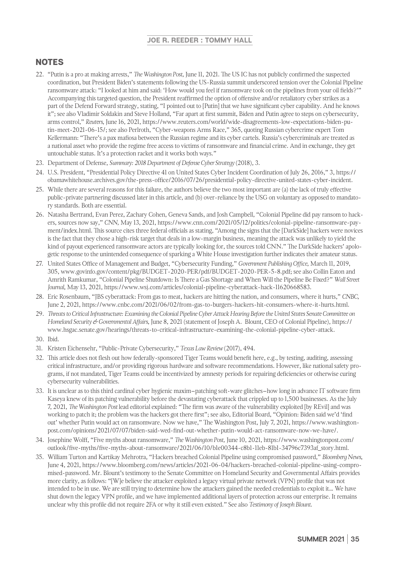- 22. "Putin is a pro at making arrests," *The Washington Post*, June 11, 2021. The US IC has not publicly confirmed the suspected coordination, but President Biden's statements following the US-Russia summit underscored tension over the Colonial Pipeline ransomware attack: "I looked at him and said: 'How would you feel if ransomware took on the pipelines from your oil fields?'" Accompanying this targeted question, the President reaffirmed the option of offensive and/or retaliatory cyber strikes as a part of the Defend Forward strategy, stating, "I pointed out to [Putin] that we have significant cyber capability. And he knows it"; see also Vladimir Soldakin and Steve Holland, "Far apart at first summit, Biden and Putin agree to steps on cybersecurity, arms control," *Reuters*, June 16, 2021, https://www.reuters.com/world/wide-disagreements-low-expectations-biden-putin-meet-2021-06-15/; see also Perlroth, "Cyber-weapons Arms Race," 365, quoting Russian cybercrime expert Tom Kellermann: "There's a pax mafiosa between the Russian regime and its cyber cartels. Russia's cybercriminals are treated as a national asset who provide the regime free access to victims of ransomware and financial crime. And in exchange, they get untouchable status. It's a protection racket and it works both ways."
- 23. Department of Defense, *Summary: 2018 Department of Defense Cyber Strategy* (2018), 3.
- 24. U.S. President, "Presidential Policy Directive 41 on United States Cyber Incident Coordination of July 26, 2016," 3, https:// obamawhitehouse.archives.gov/the-press-office/2016/07/26/presidential-policy-directive-united-states-cyber-incident.
- 25. While there are several reasons for this failure, the authors believe the two most important are (a) the lack of truly effective public-private partnering discussed later in this article, and (b) over-reliance by the USG on voluntary as opposed to mandatory standards. Both are essential.
- 26. Natasha Bertrand, Evan Perez, Zachary Cohen, Geneva Sands, and Josh Campbell, "Colonial Pipeline did pay ransom to hackers, sources now say," *CNN,* May 13, 2021, https://www.cnn.com/2021/05/12/politics/colonial-pipeline-ransomware-payment/index.html. This source cites three federal officials as stating, "Among the signs that the [DarkSide] hackers were novices is the fact that they chose a high-risk target that deals in a low-margin business, meaning the attack was unlikely to yield the kind of payout experienced ransomware actors are typically looking for, the sources told CNN." The DarkSide hackers' apologetic response to the unintended consequence of sparking a White House investigation further indicates their amateur status.
- 27. United States Office of Management and Budget, "Cybersecurity Funding," *Government Publishing Office*, March 11, 2019, 305, www.govinfo.gov/content/pkg/BUDGET-2020-PER/pdf/BUDGET-2020-PER-5-8.pdf; see also Collin Eaton and Amrith Ramkumar, "Colonial Pipeline Shutdown: Is There a Gas Shortage and When Will the Pipeline Be Fixed?" *Wall Street Journal*, May 13, 2021, https://www.wsj.com/articles/colonial-pipeline-cyberattack-hack-11620668583.
- 28. Eric Rosenbaum, "JBS cyberattack: From gas to meat, hackers are hitting the nation, and consumers, where it hurts," *CNBC,* June 2, 2021, https://www.cnbc.com/2021/06/02/from-gas-to-burgers-hackers-hit-consumers-where-it-hurts.html.
- 29. *Threats to Critical Infrastructure: Examining the Colonial Pipeline Cyber Attack Hearing Before the United States Senate Committee on Homeland Security & Governmental Affairs*, June 8, 2021 (statement of Joseph A. Blount, CEO of Colonial Pipeline), https:// www.hsgac.senate.gov/hearings/threats-to-critical-infrastructure-examining-the-colonial-pipeline-cyber-attack.
- 30. Ibid.
- 31. Kristen Eichensehr, "Public-Private Cybersecurity," *Texas Law Review* (2017), 494.
- 32. This article does not flesh out how federally-sponsored Tiger Teams would benefit here, e.g., by testing, auditing, assessing critical infrastructure, and/or providing rigorous hardware and software recommendations. However, like national safety programs, if not mandated, Tiger Teams could be incentivized by amnesty periods for repairing deficiencies or otherwise curing cybersecurity vulnerabilities.
- 33. It is unclear as to this third cardinal cyber hygienic maxim–patching soft-ware glitches–how long in advance IT software firm Kaseya knew of its patching vulnerability before the devastating cyberattack that crippled up to 1,500 businesses. As the July 7, 2021, *The Washington Post* lead editorial explained: "The firm was aware of the vulnerability exploited [by REvil] and was working to patch it; the problem was the hackers got there first"; see also, Editorial Board, "Opinion: Biden said we'd 'find out' whether Putin would act on ransomware. Now we have," The Washington Post, July 7, 2021, https://www.washingtonpost.com/opinions/2021/07/07/biden-said-wed-find-out-whether-putin-would-act-ransomware-now-we-have/.
- 34. Josephine Wolff, "Five myths about ransomware," *The Washington Post,* June 10, 2021, https://www.washingtonpost.com/ outlook/five-myths/five-myths-about-ransomware/2021/06/10/b1e00344-c8b1-11eb-81b1-34796c7393af\_story.html.
- 35. William Turton and Kartikay Mehrotra, "Hackers breached Colonial Pipeline using compromised password," *Bloomberg News*, June 4, 2021, https://www.bloomberg.com/news/articles/2021-06-04/hackers-breached-colonial-pipeline-using-compromised-password. Mr. Blount's testimony to the Senate Committee on Homeland Security and Governmental Affairs provides more clarity, as follows: "[W]e believe the attacker exploited a legacy virtual private network (VPN) profile that was not intended to be in use. We are still trying to determine how the attackers gained the needed credentials to exploit it… We have shut down the legacy VPN profile, and we have implemented additional layers of protection across our enterprise. It remains unclear why this profile did not require 2FA or why it still even existed." See also *Testimony of Joseph Blount*.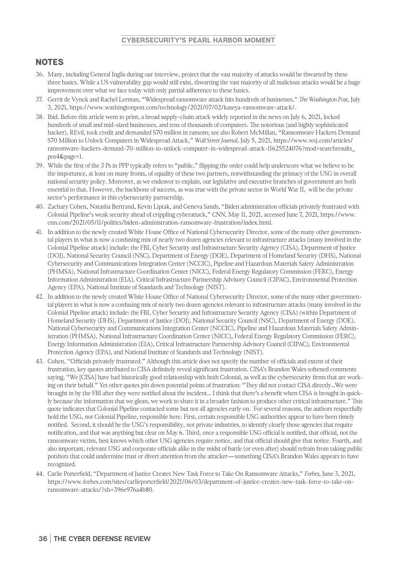- 36. Many, including General Inglis during our interview, project that the vast majority of attacks would be thwarted by these three basics. While a US vulnerability gap would still exist, thwarting the vast majority of all malicious attacks would be a huge improvement over what we face today with only partial adherence to these basics.
- 37. Gerrit de Vynck and Rachel Lerman, "Widespread ransomware attack hits hundreds of businesses," *The Washington Post*, July 3, 2021, https://www.washingtonpost.com/technology/2021/07/02/kaseya-ransomware-attack/.
- 38. Ibid. Before this article went to print, a broad supply-chain attack widely reported in the news on July 6, 2021, locked hundreds of small and mid-sized businesses, and tens of thousands of computers. The notorious (and highly sophisticated hacker), REvil, took credit and demanded \$70 million in ransom; see also Robert McMillan, "Ransomware Hackers Demand \$70 Million to Unlock Computers in Widespread Attack," *Wall Street Journal,* July 5, 2021, https://www.wsj.com/articles/ ransomware-hackers-demand-70-million-to-unlock-computer-in-widespread-attack-11625524076?mod=searchresults\_ pos4&page=1.
- 39. While the first of the 3 Ps in PPP typically refers to "public," flipping the order could help underscore what we believe to be the importance, at least on many fronts, of equality of these two partners, notwithstanding the primacy of the USG in overall national security policy. Moreover, as we endeavor to explain, our legislative and executive branches of government are both essential to that. However, the backbone of success, as was true with the private sector in World War II, will be the private sector's performance in this cybersecurity partnership.
- 40. Zachary Cohen, Natasha Bertrand, Kevin Liptak, and Geneva Sands, "Biden administration officials privately frustrated with Colonial Pipeline's weak security ahead of crippling cyberattack," *CNN*, May 11, 2021, accessed June 7, 2021, https://www. cnn.com/2021/05/11/politics/biden-administration-ransomware-frustration/index.html.
- 41. In addition to the newly created White House Office of National Cybersecurity Director, some of the many other governmental players in what is now a confusing mix of nearly two dozen agencies relevant to infrastructure attacks (many involved in the Colonial Pipeline attack) include: the FBI, Cyber Security and Infrastructure Security Agency (CISA), Department of Justice (DOJ), National Security Council (NSC), Department of Energy (DOE), Department of Homeland Security (DHS), National Cybersecurity and Communications Integration Center (NCCIC), Pipeline and Hazardous Materials Safety Administration (PHMSA), National Infrastructure Coordination Center (NICC), Federal Energy Regulatory Commission (FERC), Energy Information Administration (EIA), Critical Infrastructure Partnership Advisory Council (CIPAC), Environmental Protection Agency (EPA), National Institute of Standards and Technology (NIST).
- 42. In addition to the newly created White House Office of National Cybersecurity Director, some of the many other governmental players in what is now a confusing mix of nearly two dozen agencies relevant to infrastructure attacks (many involved in the Colonial Pipeline attack) include: the FBI, Cyber Security and Infrastructure Security Agency (CISA) (within Department of Homeland Security (DHS), Department of Justice (DOJ), National Security Council (NSC), Department of Energy (DOE), National Cybersecurity and Communications Integration Center (NCCIC), Pipeline and Hazardous Materials Safety Administration (PHMSA), National Infrastructure Coordination Center (NICC), Federal Energy Regulatory Commission (FERC), Energy Information Administration (EIA), Critical Infrastructure Partnership Advisory Council (CIPAC), Environmental Protection Agency (EPA), and National Institute of Standards and Technology (NIST).
- 43. Cohen, "Officials privately frustrated." Although this article does not specify the number of officials and extent of their frustration, key quotes attributed to CISA definitely reveal significant frustration. CISA's Brandon Wales softened comments saying, "We [CISA] have had historically good relationship with both Colonial, as well as the cybersecurity firms that are working on their behalf." Yet other quotes pin down potential points of frustration: "They did not contact CISA directly…We were brought in by the FBI after they were notified about the incident… I think that there's a benefit when CISA is brought in quickly because the information that we glean, we work to share it in a broader fashion to produce other critical infrastructure." This quote indicates that Colonial Pipeline contacted some but not all agencies early on. For several reasons, the authors respectfully hold the USG, not Colonial Pipeline, responsible here. First, certain responsible USG authorities appear to have been timely notified. Second, it should be the USG's responsibility, not private industries, to identify clearly those agencies that require notification, and that was anything but clear on May 6. Third, once a responsible USG official is notified, that official, not the ransomware victim, best knows which other USG agencies require notice, and that official should give that notice. Fourth, and also important, relevant USG and corporate officials alike in the midst of battle (or even after) should refrain from taking public potshots that could undermine trust or divert attention from the attacker—something CISA's Brandon Wales appears to have recognized.
- 44. Carlie Porterfield, "Department of Justice Creates New Task Force to Take On Ransomware Attacks," *Forbes*, June 3, 2021, https://www.forbes.com/sites/carlieporterfield/2021/06/03/department-of-justice-creates-new-task-force-to-take-onransomware-attacks/?sh=396e976a4b80.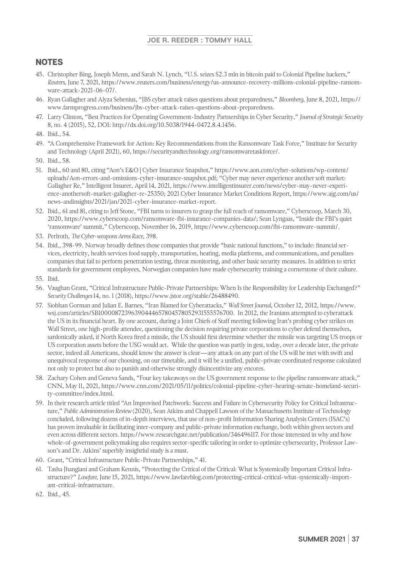- 45. Christopher Bing, Joseph Menn, and Sarah N. Lynch, "U.S. seizes \$2.3 mln in bitcoin paid to Colonial Pipeline hackers," *Reuters*, June 7, 2021, https://www.reuters.com/business/energy/us-announce-recovery-millions-colonial-pipeline-ransomware-attack-2021-06-07/.
- 46. Ryan Gallagher and Alyza Sebenius, "JBS cyber attack raises questions about preparedness," *Bloomberg*, June 8, 2021, https:// www.farmprogress.com/business/jbs-cyber-attack-raises-questions-about-preparedness.
- 47. Larry Clinton, "Best Practices for Operating Government-Industry Partnerships in Cyber Security," *Journal of Strategic Security* 8, no. 4 (2015), 52, DOI: http://dx.doi.org/10.5038/1944-0472.8.4.1456.

- 49. "A Comprehensive Framework for Action: Key Recommendations from the Ransomware Task Force," Institute for Security and Technology (April 2021), 60, https://securityandtechnology.org/ransomwaretaskforce/.
- 50. Ibid., 58.
- 51. Ibid., 60 and 80, citing "Aon's E&O | Cyber Insurance Snapshot," https://www.aon.com/cyber-solutions/wp-content/ uploads/Aon-errors-and-omissions-cyber-insurance-snapshot.pdf; "Cyber may never experience another soft market: Gallagher Re," Intelligent Insurer, April 14, 2021, https://www.intelligentinsurer.com/news/cyber-may-never-experience-anothersoft-market-gallagher-re-25350; 2021 Cyber Insurance Market Conditions Report, https://www.ajg.com/us/ news-andinsights/2021/jan/2021-cyber-insurance-market-report.
- 52. Ibid., 61 and 81, citing to Jeff Stone, "FBI turns to insurers to grasp the full reach of ransomware," Cyberscoop, March 30, 2020, https://www.cyberscoop.com/ransomware-fbi-insurance-companies-data/; Sean Lyngaas, "Inside the FBI's quiet 'ransomware' summit," Cyberscoop, November 16, 2019, https://www.cyberscoop.com/fbi-ransomware-summit/.
- 53. Perlroth, *The Cyber-weapons Arms Race*, 398.
- 54. Ibid., 398-99. Norway broadly defines those companies that provide "basic national functions," to include: financial services, electricity, health services food supply, transportation, heating, media platforms, and communications, and penalizes companies that fail to perform penetration testing, threat monitoring, and other basic security measures. In addition to strict standards for government employees, Norwegian companies have made cybersecurity training a cornerstone of their culture.
- 55. Ibid.
- 56. Vaughan Grant, "Critical Infrastructure Public-Private Partnerships: When Is the Responsibility for Leadership Exchanged?" *Security Challenges* 14, no. 1 (2018), https://www.jstor.org/stable/26488490.
- 57. Siobhan Gorman and Julian E. Barnes, "Iran Blamed for Cyberattacks," *Wall Street Journal*, October 12, 2012, https://www. wsj.com/articles/SB10000872396390444657804578052931555576700. In 2012, the Iranians attempted to cyberattack the US in its financial heart. By one account, during a Joint Chiefs of Staff meeting following Iran's probing cyber strikes on Wall Street, one high-profile attendee, questioning the decision requiring private corporations to cyber defend themselves, sardonically asked, if North Korea fired a missile, the US should first determine whether the missile was targeting US troops or US corporation assets before the USG would act. While the question was partly in gest, today, over a decade later, the private sector, indeed all Americans, should know the answer is clear—any attack on any part of the US will be met with swift and unequivocal response of our choosing, on our timetable, and it will be a unified, public-private coordinated response calculated not only to protect but also to punish and otherwise strongly disincentivize any encores.
- 58. Zachary Cohen and Geneva Sands, "Four key takeaways on the US government response to the pipeline ransomware attack," CNN, May 11, 2021, https://www.cnn.com/2021/05/11/politics/colonial-pipeline-cyber-hearing-senate-homeland-security-committee/index.html.
- 59. In their research article titled "An Improvised Patchwork: Success and Failure in Cybersecurity Policy for Critical Infrastructure," *Public Administration Review* (2020), Sean Atkins and Chappell Lawson of the Massachusetts Institute of Technology concluded, following dozens of in-depth interviews, that use of non-profit Information Sharing Analysis Centers (ISAC's) has proven invaluable in facilitating inter-company and public-private information exchange, both within given sectors and even across different sectors. https://www.researchgate.net/publication/346496117. For those interested in why and how whole-of-government policymaking also requires sector-specific tailoring in order to optimize cybersecurity, Professor Lawson's and Dr. Atkins' superbly insightful study is a must.
- 60. Grant, "Critical Infrastructure Public-Private Partnerships," 41.
- 61. Tasha Jhangiani and Graham Kennis, "Protecting the Critical of the Critical: What is Systemically Important Critical Infrastructure?" *Lawfare,* June 15, 2021, https://www.lawfareblog.com/protecting-critical-critical-what-systemically-important-critical-infrastructure.
- 62. Ibid., 45.

<sup>48.</sup> Ibid., 54.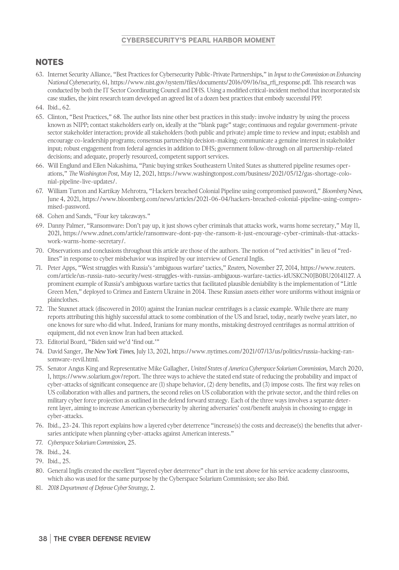- 63. Internet Security Alliance, "Best Practices for Cybersecurity Public-Private Partnerships," in *Input to the Commission on Enhancing National Cybersecurity*, 61, https://www.nist.gov/system/files/documents/2016/09/16/isa\_rfi\_response.pdf. This research was conducted by both the IT Sector Coordinating Council and DHS. Using a modified critical-incident method that incorporated six case studies, the joint research team developed an agreed list of a dozen best practices that embody successful PPP.
- 64. Ibid., 62.
- 65. Clinton, "Best Practices," 68. The author lists nine other best practices in this study: involve industry by using the process known as NIPP; contact stakeholders early on, ideally at the "blank page" stage; continuous and regular government-private sector stakeholder interaction; provide all stakeholders (both public and private) ample time to review and input; establish and encourage co-leadership programs; consensus partnership decision-making; communicate a genuine interest in stakeholder input; robust engagement from federal agencies in addition to DHS; government follow-through on all partnership-related decisions; and adequate, properly resourced, competent support services.
- 66. Will Englund and Ellen Nakashima, "Panic buying strikes Southeastern United States as shuttered pipeline resumes operations," *The Washington Post*, May 12, 2021, https://www.washingtonpost.com/business/2021/05/12/gas-shortage-colonial-pipeline-live-updates/.
- 67. William Turton and Kartikay Mehrotra, "Hackers breached Colonial Pipeline using compromised password," *Bloomberg News*, June 4, 2021, https://www.bloomberg.com/news/articles/2021-06-04/hackers-breached-colonial-pipeline-using-compromised-password.
- 68. Cohen and Sands, "Four key takeaways."
- 69. Danny Palmer, "Ransomware: Don't pay up, it just shows cyber criminals that attacks work, warns home secretary," May 11, 2021, https://www.zdnet.com/article/ransomware-dont-pay-the-ransom-it-just-encourage-cyber-criminals-that-attackswork-warns-home-secretary/.
- 70. Observations and conclusions throughout this article are those of the authors. The notion of "red activities" in lieu of "redlines" in response to cyber misbehavior was inspired by our interview of General Inglis.
- 71. Peter Apps, "West struggles with Russia's 'ambiguous warfare' tactics," *Reuters*, November 27, 2014, https://www.reuters. com/article/us-russia-nato-security/west-struggles-with-russias-ambiguous-warfare-tactics-idUSKCN0JB0BU20141127. A prominent example of Russia's ambiguous warfare tactics that facilitated plausible deniability is the implementation of "Little Green Men," deployed to Crimea and Eastern Ukraine in 2014. These Russian assets either wore uniforms without insignia or plainclothes.
- 72. The Stuxnet attack (discovered in 2010) against the Iranian nuclear centrifuges is a classic example. While there are many reports attributing this highly successful attack to some combination of the US and Israel, today, nearly twelve years later, no one knows for sure who did what. Indeed, Iranians for many months, mistaking destroyed centrifuges as normal attrition of equipment, did not even know Iran had been attacked.
- 73. Editorial Board, "Biden said we'd 'find out.'"
- 74. David Sanger, *The New York Times*, July 13, 2021, https://www.nytimes.com/2021/07/13/us/politics/russia-hacking-ransomware-revil.html.
- 75. Senator Angus King and Representative Mike Gallagher, *United States of America Cyberspace Solarium Commission*, March 2020, 1, https://www.solarium.gov/report. The three ways to achieve the stated end state of reducing the probability and impact of cyber-attacks of significant consequence are (1) shape behavior, (2) deny benefits, and (3) impose costs. The first way relies on US collaboration with allies and partners, the second relies on US collaboration with the private sector, and the third relies on military cyber force projection as outlined in the defend forward strategy. Each of the three ways involves a separate deterrent layer, aiming to increase American cybersecurity by altering adversaries' cost/benefit analysis in choosing to engage in cyber-attacks.
- 76. Ibid., 23-24. This report explains how a layered cyber deterrence "increase(s) the costs and decrease(s) the benefits that adversaries anticipate when planning cyber-attacks against American interests."
- 77. *Cyberspace Solarium Commission*, 25.
- 78. Ibid., 24.
- 79. Ibid., 25.
- 80. General Inglis created the excellent "layered cyber deterrence" chart in the text above for his service academy classrooms, which also was used for the same purpose by the Cyberspace Solarium Commission; see also Ibid.
- 81. *2018 Department of Defense Cyber Strategy*, 2.